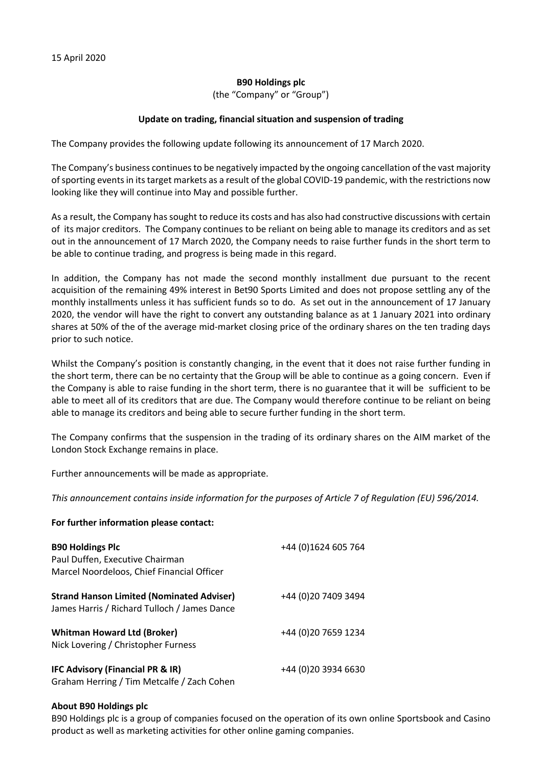## **B90 Holdings plc**

(the "Company" or "Group")

## **Update on trading, financial situation and suspension of trading**

The Company provides the following update following its announcement of 17 March 2020.

The Company's business continues to be negatively impacted by the ongoing cancellation of the vast majority of sporting events in its target markets as a result of the global COVID-19 pandemic, with the restrictions now looking like they will continue into May and possible further.

As a result, the Company has sought to reduce its costs and has also had constructive discussions with certain of its major creditors. The Company continues to be reliant on being able to manage its creditors and as set out in the announcement of 17 March 2020, the Company needs to raise further funds in the short term to be able to continue trading, and progress is being made in this regard.

In addition, the Company has not made the second monthly installment due pursuant to the recent acquisition of the remaining 49% interest in Bet90 Sports Limited and does not propose settling any of the monthly installments unless it has sufficient funds so to do. As set out in the announcement of 17 January 2020, the vendor will have the right to convert any outstanding balance as at 1 January 2021 into ordinary shares at 50% of the of the average mid-market closing price of the ordinary shares on the ten trading days prior to such notice.

Whilst the Company's position is constantly changing, in the event that it does not raise further funding in the short term, there can be no certainty that the Group will be able to continue as a going concern. Even if the Company is able to raise funding in the short term, there is no guarantee that it will be sufficient to be able to meet all of its creditors that are due. The Company would therefore continue to be reliant on being able to manage its creditors and being able to secure further funding in the short term.

The Company confirms that the suspension in the trading of its ordinary shares on the AIM market of the London Stock Exchange remains in place.

Further announcements will be made as appropriate.

*This announcement contains inside information for the purposes of Article 7 of Regulation (EU) 596/2014.*

## **For further information please contact:**

| <b>B90 Holdings Plc</b><br>Paul Duffen, Executive Chairman<br>Marcel Noordeloos, Chief Financial Officer | +44 (0)1624 605 764  |
|----------------------------------------------------------------------------------------------------------|----------------------|
| <b>Strand Hanson Limited (Nominated Adviser)</b><br>James Harris / Richard Tulloch / James Dance         | +44 (0)20 7409 3494  |
| <b>Whitman Howard Ltd (Broker)</b><br>Nick Lovering / Christopher Furness                                | +44 (0) 20 7659 1234 |
| <b>IFC Advisory (Financial PR &amp; IR)</b><br>Graham Herring / Tim Metcalfe / Zach Cohen                | +44 (0)20 3934 6630  |

## **About B90 Holdings plc**

B90 Holdings plc is a group of companies focused on the operation of its own online Sportsbook and Casino product as well as marketing activities for other online gaming companies.